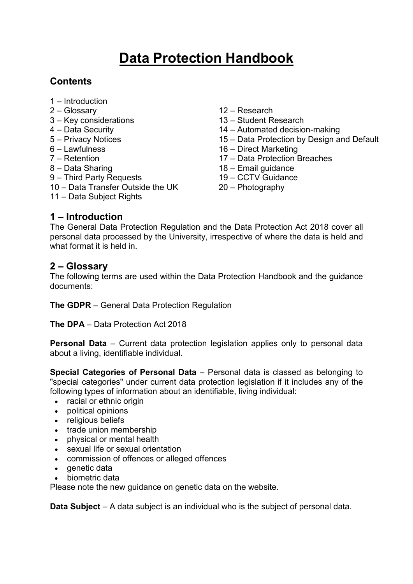# **Data Protection Handbook**

# **Contents**

- <span id="page-0-2"></span>1 – [Introduction](#page-0-0)
- 2 [Glossary](#page-0-1)
- 3 [Key considerations](#page-1-0)
- 4 [Data Security](#page-2-0)
- 5 [Privacy Notices](#page-0-2)
- $6 I$  awfulness
- 7 [Retention](#page-3-1)
- 8 [Data Sharing](#page-4-0)
- 9 [Third Party Requests](#page-5-0)
- 10 [Data Transfer Outside the UK](#page-6-0)
- 11 [Data Subject Rights](#page-8-0)
- 12 [Research](#page-11-0)
- 13 [Student Research](#page-12-0)
- 14 [Automated decision-making](#page-12-1)
- 15 [Data Protection by Design and Default](#page-13-0)
- 16 [Direct Marketing](#page-14-0)
- 17 [Data Protection](#page-15-0) Breaches
- 18 Email guidance
- 19 CCTV Guidance
- 20 Photography

#### <span id="page-0-0"></span>**1 – Introduction**

The General Data Protection Regulation and the Data Protection Act 2018 cover all personal data processed by the University, irrespective of where the data is held and what format it is held in.

#### <span id="page-0-1"></span>**2 – Glossary**

The following terms are used within the Data Protection Handbook and the guidance documents:

**The GDPR** – General Data Protection Regulation

**The DPA** – Data Protection Act 2018

**Personal Data** – Current data protection legislation applies only to personal data about a living, identifiable individual.

**Special Categories of Personal Data** – Personal data is classed as belonging to "special categories" under current data protection legislation if it includes any of the following types of information about an identifiable, living individual:

- racial or ethnic origin
- political opinions
- religious beliefs
- trade union membership
- physical or mental health
- sexual life or sexual orientation
- commission of offences or alleged offences
- $\bullet$  aenetic data
- biometric data

Please note the new guidance on genetic data on the website.

**Data Subject** – A data subject is an individual who is the subject of personal data.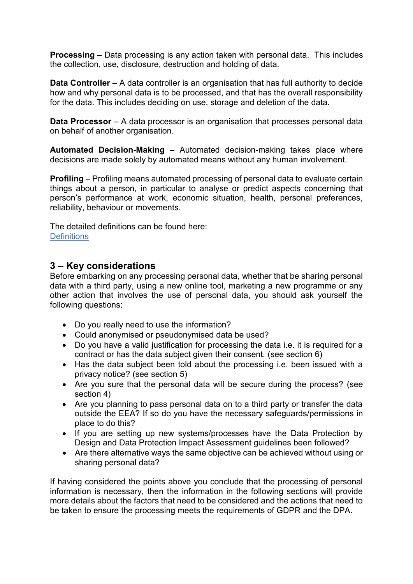**Processing** – Data processing is any action taken with personal data. This includes the collection, use, disclosure, destruction and holding of data.

**Data Controller** – A data controller is an organisation that has full authority to decide how and why personal data is to be processed, and that has the overall responsibility for the data. This includes deciding on use, storage and deletion of the data.

**Data Processor** – A data processor is an organisation that processes personal data on behalf of another organisation.

**Automated Decision-Making** – Automated decision-making takes place where decisions are made solely by automated means without any human involvement.

**Profiling** – Profiling means automated processing of personal data to evaluate certain things about a person, in particular to analyse or predict aspects concerning that person's performance at work, economic situation, health, personal preferences, reliability, behaviour or movements.

The detailed definitions can be found here: **[Definitions](https://www.ed.ac.uk/data-protection/data-protection-guidance/definitions)** 

# <span id="page-1-0"></span>**3 – Key considerations**

Before embarking on any processing personal data, whether that be sharing personal data with a third party, using a new online tool, marketing a new programme or any other action that involves the use of personal data, you should ask yourself the following questions:

- Do you really need to use the information?
- Could anonymised or pseudonymised data be used?
- Do you have a valid justification for processing the data i.e. it is required for a contract or has the data subject given their consent. (see section 6)
- Has the data subject been told about the processing i.e. been issued with a privacy notice? (see section 5)
- Are you sure that the personal data will be secure during the process? (see section 4)
- Are you planning to pass personal data on to a third party or transfer the data outside the EEA? If so do you have the necessary safeguards/permissions in place to do this?
- If you are setting up new systems/processes have the Data Protection by Design and Data Protection Impact Assessment guidelines been followed?
- Are there alternative ways the same objective can be achieved without using or sharing personal data?

If having considered the points above you conclude that the processing of personal information is necessary, then the information in the following sections will provide more details about the factors that need to be considered and the actions that need to be taken to ensure the processing meets the requirements of GDPR and the DPA.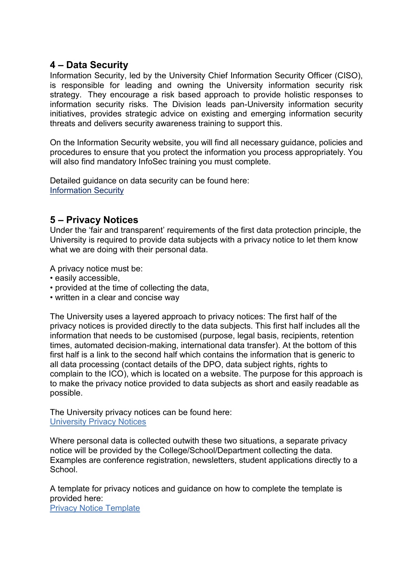### <span id="page-2-0"></span>**4 – Data Security**

Information Security, led by the University Chief Information Security Officer (CISO), is responsible for leading and owning the University information security risk strategy. They encourage a risk based approach to provide holistic responses to information security risks. The Division leads pan-University information security initiatives, provides strategic advice on existing and emerging information security threats and delivers security awareness training to support this.

On the Information Security website, you will find all necessary guidance, policies and procedures to ensure that you protect the information you process appropriately. You will also find mandatory InfoSec training you must complete.

Detailed guidance on data security can be found here: [Information Security](https://www.ed.ac.uk/infosec)

#### **5 – Privacy Notices**

Under the 'fair and transparent' requirements of the first data protection principle, the University is required to provide data subjects with a privacy notice to let them know what we are doing with their personal data.

A privacy notice must be:

- easily accessible,
- provided at the time of collecting the data,
- written in a clear and concise way

The University uses a layered approach to privacy notices: The first half of the privacy notices is provided directly to the data subjects. This first half includes all the information that needs to be customised (purpose, legal basis, recipients, retention times, automated decision-making, international data transfer). At the bottom of this first half is a link to the second half which contains the information that is generic to all data processing (contact details of the DPO, data subject rights, rights to complain to the ICO), which is located on a website. The purpose for this approach is to make the privacy notice provided to data subjects as short and easily readable as possible.

The University privacy notices can be found here: [University Privacy Notices](https://www.ed.ac.uk/data-protection/data-protection-guidance/privacy-notices/university-corporate-privacy-notices)

Where personal data is collected outwith these two situations, a separate privacy notice will be provided by the College/School/Department collecting the data. Examples are conference registration, newsletters, student applications directly to a School.

A template for privacy notices and guidance on how to complete the template is provided here:

[Privacy Notice Template](https://www.ed.ac.uk/data-protection/data-protection-guidance/privacy-notices/creating-a-privacy-notice)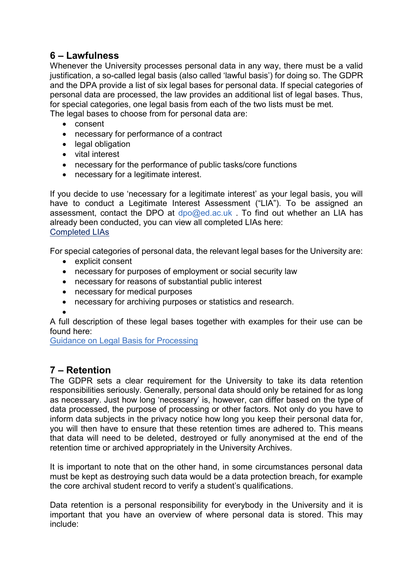# <span id="page-3-0"></span>**6 – Lawfulness**

Whenever the University processes personal data in any way, there must be a valid justification, a so-called legal basis (also called 'lawful basis') for doing so. The GDPR and the DPA provide a list of six legal bases for personal data. If special categories of personal data are processed, the law provides an additional list of legal bases. Thus, for special categories, one legal basis from each of the two lists must be met. The legal bases to choose from for personal data are:

- consent
- necessary for performance of a contract
- legal obligation
- vital interest
- necessary for the performance of public tasks/core functions
- necessary for a legitimate interest.

If you decide to use 'necessary for a legitimate interest' as your legal basis, you will have to conduct a Legitimate Interest Assessment ("LIA"). To be assigned an assessment, contact the DPO at  $dpo@ed.ac.uk$ . To find out whether an LIA has already been conducted, you can view all completed LIAs here: [Completed LIAs](https://uoe.sharepoint.com/sites/DataProcessingRegisters/LegitimateInterests/)

For special categories of personal data, the relevant legal bases for the University are:

- explicit consent
- necessary for purposes of employment or social security law
- necessary for reasons of substantial public interest
- necessary for medical purposes
- necessary for archiving purposes or statistics and research.
- $\bullet$

A full description of these legal bases together with examples for their use can be found here:

[Guidance on Legal Basis for Processing](https://www.ed.ac.uk/data-protection/data-protection-guidance/legal-basis)

# <span id="page-3-1"></span>**7 – Retention**

The GDPR sets a clear requirement for the University to take its data retention responsibilities seriously. Generally, personal data should only be retained for as long as necessary. Just how long 'necessary' is, however, can differ based on the type of data processed, the purpose of processing or other factors. Not only do you have to inform data subjects in the privacy notice how long you keep their personal data for, you will then have to ensure that these retention times are adhered to. This means that data will need to be deleted, destroyed or fully anonymised at the end of the retention time or archived appropriately in the University Archives.

It is important to note that on the other hand, in some circumstances personal data must be kept as destroying such data would be a data protection breach, for example the core archival student record to verify a student's qualifications.

Data retention is a personal responsibility for everybody in the University and it is important that you have an overview of where personal data is stored. This may include: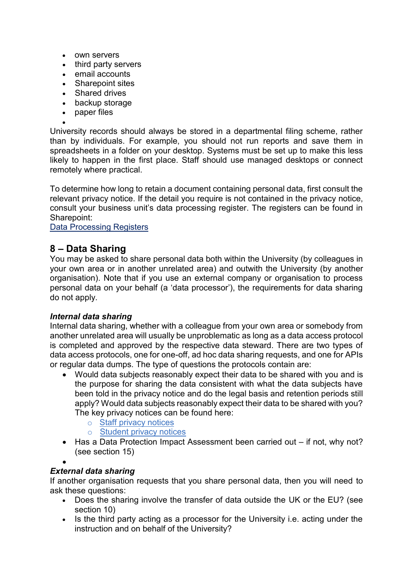- own servers
- third party servers
- email accounts
- Sharepoint sites
- Shared drives
- backup storage
- paper files

 $\bullet$ University records should always be stored in a departmental filing scheme, rather than by individuals. For example, you should not run reports and save them in spreadsheets in a folder on your desktop. Systems must be set up to make this less likely to happen in the first place. Staff should use managed desktops or connect remotely where practical.

To determine how long to retain a document containing personal data, first consult the relevant privacy notice. If the detail you require is not contained in the privacy notice, consult your business unit's data processing register. The registers can be found in Sharepoint:

<span id="page-4-0"></span>[Data Processing Registers](https://uoe.sharepoint.com/sites/DataProcessingRegisters)

# **8 – Data Sharing**

You may be asked to share personal data both within the University (by colleagues in your own area or in another unrelated area) and outwith the University (by another organisation). Note that if you use an external company or organisation to process personal data on your behalf (a 'data processor'), the requirements for data sharing do not apply.

#### *Internal data sharing*

Internal data sharing, whether with a colleague from your own area or somebody from another unrelated area will usually be unproblematic as long as a data access protocol is completed and approved by the respective data steward. There are two types of data access protocols, one for one-off, ad hoc data sharing requests, and one for APIs or regular data dumps. The type of questions the protocols contain are:

- Would data subjects reasonably expect their data to be shared with you and is the purpose for sharing the data consistent with what the data subjects have been told in the privacy notice and do the legal basis and retention periods still apply? Would data subjects reasonably expect their data to be shared with you? The key privacy notices can be found here:
	- o [Staff privacy notices](https://www.ed.ac.uk/data-protection/data-protection-guidance/privacy-notices/university-corporate-privacy-notices/employment)
	- o [Student privacy notices](https://www.ed.ac.uk/data-protection/data-protection-guidance/privacy-notices/university-corporate-privacy-notices/students)
- Has a Data Protection Impact Assessment been carried out if not, why not? (see section 15)
- $\bullet$

#### *External data sharing*

If another organisation requests that you share personal data, then you will need to ask these questions:

- Does the sharing involve the transfer of data outside the UK or the EU? (see section 10)
- Is the third party acting as a processor for the University i.e. acting under the instruction and on behalf of the University?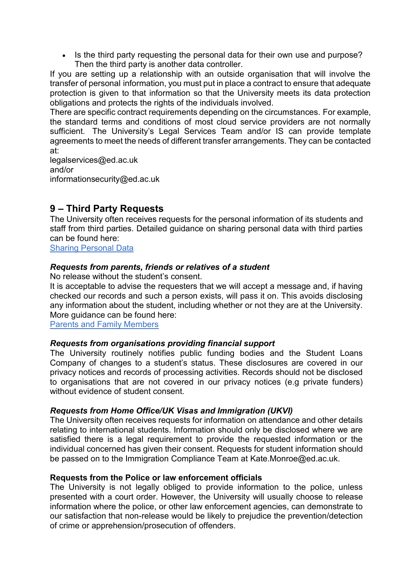• Is the third party requesting the personal data for their own use and purpose? Then the third party is another data controller.

If you are setting up a relationship with an outside organisation that will involve the transfer of personal information, you must put in place a contract to ensure that adequate protection is given to that information so that the University meets its data protection obligations and protects the rights of the individuals involved.

There are specific contract requirements depending on the circumstances. For example, the standard terms and conditions of most cloud service providers are not normally sufficient. The University's Legal Services Team and/or IS can provide template agreements to meet the needs of different transfer arrangements. They can be contacted at:

[legalservices@ed.ac.uk](mailto:legalservices@ed.ac.uk) and/or [informationsecurity@ed.ac.uk](mailto:informationsecurity@ed.ac.uk)

# <span id="page-5-0"></span>**9 – Third Party Requests**

The University often receives requests for the personal information of its students and staff from third parties. Detailed guidance on sharing personal data with third parties can be found here:

[Sharing Personal Data](https://www.ed.ac.uk/data-protection/data-protection-guidance/sharing-personal-data)

#### *Requests from parents, friends or relatives of a student*

No release without the student's consent.

It is acceptable to advise the requesters that we will accept a message and, if having checked our records and such a person exists, will pass it on. This avoids disclosing any information about the student, including whether or not they are at the University. More guidance can be found here:

[Parents and Family Members](https://www.ed.ac.uk/data-protection/data-protection-guidance/sharing-personal-data/refusing-to-disclose/parents-family-members)

#### *Requests from organisations providing financial support*

The University routinely notifies public funding bodies and the Student Loans Company of changes to a student's status. These disclosures are covered in our privacy notices and records of processing activities. Records should not be disclosed to organisations that are not covered in our privacy notices (e.g private funders) without evidence of student consent.

#### *Requests from Home Office/UK Visas and Immigration (UKVI)*

The University often receives requests for information on attendance and other details relating to international students. Information should only be disclosed where we are satisfied there is a legal requirement to provide the requested information or the individual concerned has given their consent. Requests for student information should be passed on to the Immigration Compliance Team at [Kate.Monroe@ed.ac.uk.](mailto:Kate.Monroe@ed.ac.uk)

#### **Requests from the Police or law enforcement officials**

The University is not legally obliged to provide information to the police, unless presented with a court order. However, the University will usually choose to release information where the police, or other law enforcement agencies, can demonstrate to our satisfaction that non-release would be likely to prejudice the prevention/detection of crime or apprehension/prosecution of offenders.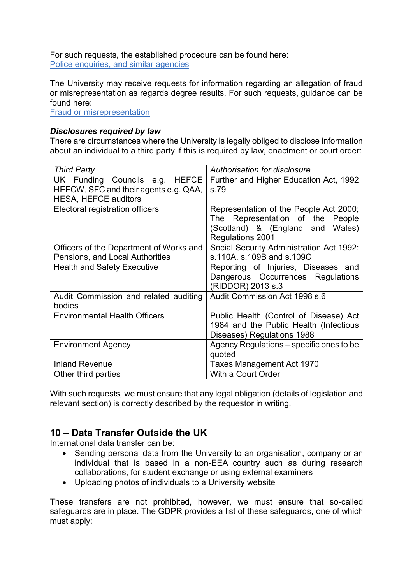For such requests, the established procedure can be found here: [Police enquiries, and similar agencies](https://www.ed.ac.uk/data-protection/data-protection-guidance/sharing-personal-data/refer/police-enquiries-similar-agencies)

The University may receive requests for information regarding an allegation of fraud or misrepresentation as regards degree results. For such requests, guidance can be found here:

[Fraud or misrepresentation](https://www.ed.ac.uk/data-protection/data-protection-guidance/sharing-personal-data/refer/fraud-or-misrepresentation) 

#### *Disclosures required by law*

There are circumstances where the University is legally obliged to disclose information about an individual to a third party if this is required by law, enactment or court order:

| <b>Third Party</b>                                                                                     | Authorisation for disclosure                                                                                                       |
|--------------------------------------------------------------------------------------------------------|------------------------------------------------------------------------------------------------------------------------------------|
| UK Funding Councils e.g. HEFCE<br>HEFCW, SFC and their agents e.g. QAA,<br><b>HESA, HEFCE auditors</b> | Further and Higher Education Act, 1992<br>s.79                                                                                     |
| Electoral registration officers                                                                        | Representation of the People Act 2000;<br>The Representation of the People<br>(Scotland) & (England and Wales)<br>Regulations 2001 |
| Officers of the Department of Works and<br>Pensions, and Local Authorities                             | Social Security Administration Act 1992:<br>s.110A, s.109B and s.109C                                                              |
| <b>Health and Safety Executive</b>                                                                     | Reporting of Injuries, Diseases and<br>Dangerous Occurrences Regulations<br>(RIDDOR) 2013 s.3                                      |
| Audit Commission and related auditing<br>bodies                                                        | Audit Commission Act 1998 s.6                                                                                                      |
| <b>Environmental Health Officers</b>                                                                   | Public Health (Control of Disease) Act<br>1984 and the Public Health (Infectious<br>Diseases) Regulations 1988                     |
| <b>Environment Agency</b>                                                                              | Agency Regulations – specific ones to be<br>quoted                                                                                 |
| <b>Inland Revenue</b>                                                                                  | Taxes Management Act 1970                                                                                                          |
| Other third parties                                                                                    | With a Court Order                                                                                                                 |

With such requests, we must ensure that any legal obligation (details of legislation and relevant section) is correctly described by the requestor in writing.

# <span id="page-6-0"></span>**10 – Data Transfer Outside the UK**

International data transfer can be:

- Sending personal data from the University to an organisation, company or an individual that is based in a non-EEA country such as during research collaborations, for student exchange or using external examiners
- Uploading photos of individuals to a University website

These transfers are not prohibited, however, we must ensure that so-called safeguards are in place. The GDPR provides a list of these safeguards, one of which must apply: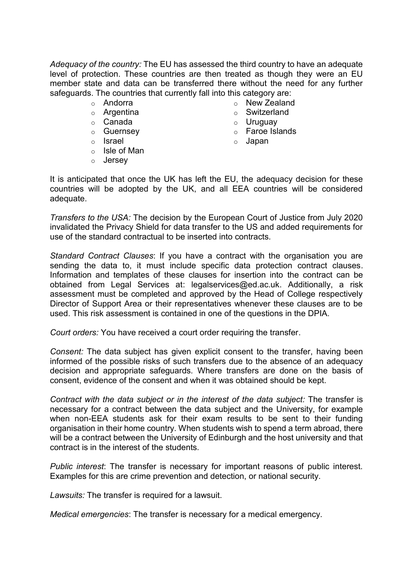*Adequacy of the country:* The EU has assessed the third country to have an adequate level of protection. These countries are then treated as though they were an EU member state and data can be transferred there without the need for any further safeguards. The countries that currently fall into this category are:

- o Andorra
- o Argentina
- o Canada
- o Guernsey
- o Israel
- o Isle of Man
- o Jersey
- o New Zealand
- o Switzerland
- o Uruguay
- o Faroe Islands
- o Japan

It is anticipated that once the UK has left the EU, the adequacy decision for these countries will be adopted by the UK, and all EEA countries will be considered adequate.

*Transfers to the USA:* The decision by the European Court of Justice from July 2020 invalidated the Privacy Shield for data transfer to the US and added requirements for use of the standard contractual to be inserted into contracts.

*Standard Contract Clauses*: If you have a contract with the organisation you are sending the data to, it must include specific data protection contract clauses. Information and templates of these clauses for insertion into the contract can be obtained from Legal Services at: [legalservices@ed.ac.uk.](mailto:legalservices@ed.ac.uk) Additionally, a risk assessment must be completed and approved by the Head of College respectively Director of Support Area or their representatives whenever these clauses are to be used. This risk assessment is contained in one of the questions in the DPIA.

*Court orders:* You have received a court order requiring the transfer.

*Consent:* The data subject has given explicit consent to the transfer, having been informed of the possible risks of such transfers due to the absence of an adequacy decision and appropriate safeguards. Where transfers are done on the basis of consent, evidence of the consent and when it was obtained should be kept.

*Contract with the data subject or in the interest of the data subject:* The transfer is necessary for a contract between the data subject and the University, for example when non-EEA students ask for their exam results to be sent to their funding organisation in their home country. When students wish to spend a term abroad, there will be a contract between the University of Edinburgh and the host university and that contract is in the interest of the students.

*Public interest*: The transfer is necessary for important reasons of public interest. Examples for this are crime prevention and detection, or national security.

*Lawsuits:* The transfer is required for a lawsuit.

*Medical emergencies*: The transfer is necessary for a medical emergency.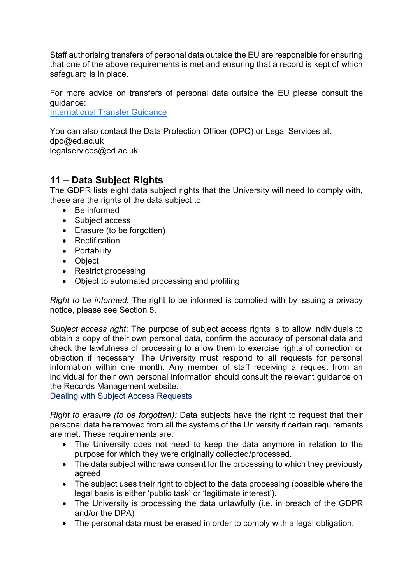Staff authorising transfers of personal data outside the EU are responsible for ensuring that one of the above requirements is met and ensuring that a record is kept of which safeguard is in place.

For more advice on transfers of personal data outside the EU please consult the guidance:

[International Transfer Guidance](https://www.ed.ac.uk/data-protection/data-protection-guidance/specialised-guidance/international-data-transfer)

You can also contact the Data Protection Officer (DPO) or Legal Services at: [dpo@ed.ac.uk](mailto:dpo@ed.ac.uk) [legalservices@ed.ac.uk](mailto:legalservices@ed.ac.uk)

# <span id="page-8-0"></span>**11 – Data Subject Rights**

The GDPR lists eight data subject rights that the University will need to comply with, these are the rights of the data subject to:

- Be informed
- Subject access
- Erasure (to be forgotten)
- Rectification
- Portability
- Object
- Restrict processing
- Object to automated processing and profiling

*Right to be informed:* The right to be informed is complied with by issuing a privacy notice, please see [Section 5.](#page-0-2)

*Subject access right*: The purpose of subject access rights is to allow individuals to obtain a copy of their own personal data, confirm the accuracy of personal data and check the lawfulness of processing to allow them to exercise rights of correction or objection if necessary. The University must respond to all requests for personal information within one month. Any member of staff receiving a request from an individual for their own personal information should consult the relevant guidance on the Records Management website:

[Dealing with Subject Access Requests](https://www.ed.ac.uk/records-management/data-protection/subject-access-requests)

*Right to erasure (to be forgotten):* Data subjects have the right to request that their personal data be removed from all the systems of the University if certain requirements are met. These requirements are:

- The University does not need to keep the data anymore in relation to the purpose for which they were originally collected/processed.
- The data subject withdraws consent for the processing to which they previously agreed
- The subject uses their right to object to the data processing (possible where the legal basis is either 'public task' or 'legitimate interest').
- The University is processing the data unlawfully (i.e. in breach of the GDPR and/or the DPA)
- The personal data must be erased in order to comply with a legal obligation.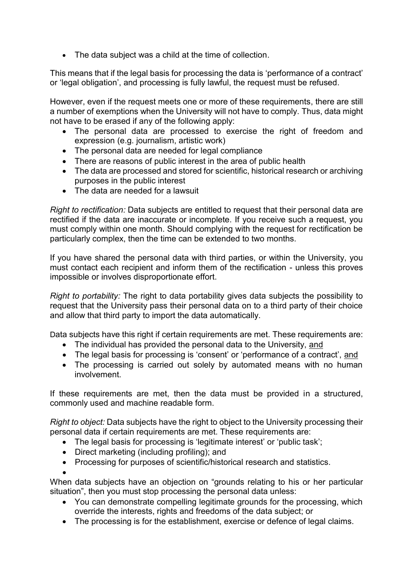The data subject was a child at the time of collection.

This means that if the legal basis for processing the data is 'performance of a contract' or 'legal obligation', and processing is fully lawful, the request must be refused.

However, even if the request meets one or more of these requirements, there are still a number of exemptions when the University will not have to comply. Thus, data might not have to be erased if any of the following apply:

- The personal data are processed to exercise the right of freedom and expression (e.g. journalism, artistic work)
- The personal data are needed for legal compliance
- There are reasons of public interest in the area of public health
- The data are processed and stored for scientific, historical research or archiving purposes in the public interest
- The data are needed for a lawsuit

*Right to rectification:* Data subjects are entitled to request that their personal data are rectified if the data are inaccurate or incomplete. If you receive such a request, you must comply within one month. Should complying with the request for rectification be particularly complex, then the time can be extended to two months.

If you have shared the personal data with third parties, or within the University, you must contact each recipient and inform them of the rectification - unless this proves impossible or involves disproportionate effort.

*Right to portability:* The right to data portability gives data subjects the possibility to request that the University pass their personal data on to a third party of their choice and allow that third party to import the data automatically.

Data subjects have this right if certain requirements are met. These requirements are:

- The individual has provided the personal data to the University, and
- The legal basis for processing is 'consent' or 'performance of a contract', and
- The processing is carried out solely by automated means with no human involvement.

If these requirements are met, then the data must be provided in a structured, commonly used and machine readable form.

*Right to object:* Data subjects have the right to object to the University processing their personal data if certain requirements are met. These requirements are:

- The legal basis for processing is 'legitimate interest' or 'public task';
- Direct marketing (including profiling); and
- Processing for purposes of scientific/historical research and statistics.

 $\bullet$ When data subjects have an objection on "grounds relating to his or her particular situation", then you must stop processing the personal data unless:

- You can demonstrate compelling legitimate grounds for the processing, which override the interests, rights and freedoms of the data subject; or
- The processing is for the establishment, exercise or defence of legal claims.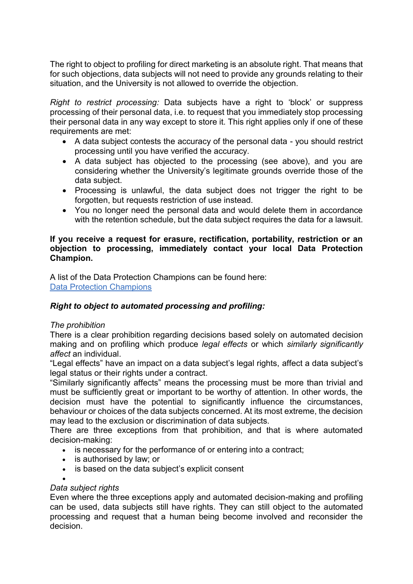The right to object to profiling for direct marketing is an absolute right. That means that for such objections, data subjects will not need to provide any grounds relating to their situation, and the University is not allowed to override the objection.

*Right to restrict processing:* Data subjects have a right to 'block' or suppress processing of their personal data, i.e. to request that you immediately stop processing their personal data in any way except to store it. This right applies only if one of these requirements are met:

- A data subject contests the accuracy of the personal data you should restrict processing until you have verified the accuracy.
- A data subject has objected to the processing (see above), and you are considering whether the University's legitimate grounds override those of the data subject.
- Processing is unlawful, the data subject does not trigger the right to be forgotten, but requests restriction of use instead.
- You no longer need the personal data and would delete them in accordance with the retention schedule, but the data subject requires the data for a lawsuit.

#### **If you receive a request for erasure, rectification, portability, restriction or an objection to processing, immediately contact your local Data Protection Champion.**

A list of the Data Protection Champions can be found here: [Data Protection Champions](https://uoe.sharepoint.com/sites/DataProcessingRegisters/DPCs/SitePages/Home.aspx)

#### *Right to object to automated processing and profiling:*

#### *The prohibition*

There is a clear prohibition regarding decisions based solely on automated decision making and on profiling which produce *legal effects* or which *similarly significantly affect* an individual.

"Legal effects" have an impact on a data subject's legal rights, affect a data subject's legal status or their rights under a contract.

"Similarly significantly affects" means the processing must be more than trivial and must be sufficiently great or important to be worthy of attention. In other words, the decision must have the potential to significantly influence the circumstances, behaviour or choices of the data subjects concerned. At its most extreme, the decision may lead to the exclusion or discrimination of data subjects.

There are three exceptions from that prohibition, and that is where automated decision-making:

- is necessary for the performance of or entering into a contract;
- is authorised by law; or
- is based on the data subject's explicit consent

 $\bullet$ 

#### *Data subject rights*

Even where the three exceptions apply and automated decision-making and profiling can be used, data subjects still have rights. They can still object to the automated processing and request that a human being become involved and reconsider the decision.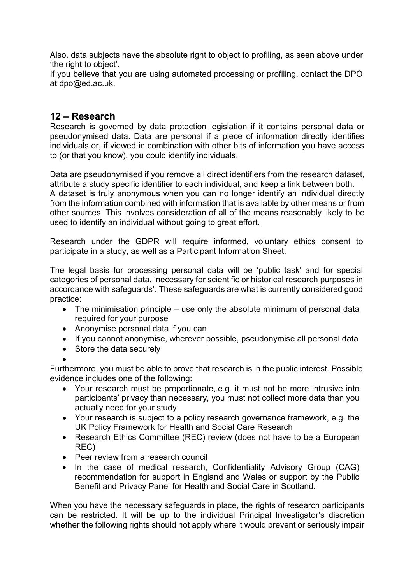Also, data subjects have the absolute right to object to profiling, as seen above under 'the right to object'.

If you believe that you are using automated processing or profiling, contact the DPO at [dpo@ed.ac.uk.](mailto:dpo@ed.ac.uk)

# <span id="page-11-0"></span>**12 – Research**

Research is governed by data protection legislation if it contains personal data or pseudonymised data. Data are personal if a piece of information directly identifies individuals or, if viewed in combination with other bits of information you have access to (or that you know), you could identify individuals.

Data are pseudonymised if you remove all direct identifiers from the research dataset, attribute a study specific identifier to each individual, and keep a link between both. A dataset is truly anonymous when you can no longer identify an individual directly from the information combined with information that is available by other means or from other sources. This involves consideration of all of the means reasonably likely to be used to identify an individual without going to great effort.

Research under the GDPR will require informed, voluntary ethics consent to participate in a study, as well as a Participant Information Sheet.

The legal basis for processing personal data will be 'public task' and for special categories of personal data, 'necessary for scientific or historical research purposes in accordance with safeguards'. These safeguards are what is currently considered good practice:

- The minimisation principle use only the absolute minimum of personal data required for your purpose
- Anonymise personal data if you can
- If you cannot anonymise, wherever possible, pseudonymise all personal data
- Store the data securely

 $\bullet$ 

Furthermore, you must be able to prove that research is in the public interest. Possible evidence includes one of the following:

- Your research must be proportionate,.e.g. it must not be more intrusive into participants' privacy than necessary, you must not collect more data than you actually need for your study
- Your research is subject to a policy research governance framework, e.g. the UK Policy Framework for Health and Social Care Research
- Research Ethics Committee (REC) review (does not have to be a European REC)
- Peer review from a research council
- In the case of medical research, Confidentiality Advisory Group (CAG) recommendation for support in England and Wales or support by the Public Benefit and Privacy Panel for Health and Social Care in Scotland.

When you have the necessary safeguards in place, the rights of research participants can be restricted. It will be up to the individual Principal Investigator's discretion whether the following rights should not apply where it would prevent or seriously impair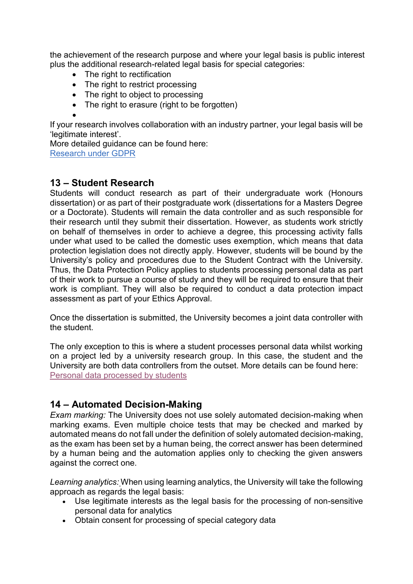the achievement of the research purpose and where your legal basis is public interest plus the additional research-related legal basis for special categories:

- The right to rectification
- The right to restrict processing
- The right to object to processing
- The right to erasure (right to be forgotten)

#### $\bullet$

<span id="page-12-0"></span>If your research involves collaboration with an industry partner, your legal basis will be 'legitimate interest'.

More detailed guidance can be found here: [Research under GDPR](https://www.ed.ac.uk/data-protection/data-protection-guidance/specialised-guidance/research-data-protection)

#### **13 – Student Research**

Students will conduct research as part of their undergraduate work (Honours dissertation) or as part of their postgraduate work (dissertations for a Masters Degree or a Doctorate). Students will remain the data controller and as such responsible for their research until they submit their dissertation. However, as students work strictly on behalf of themselves in order to achieve a degree, this processing activity falls under what used to be called the domestic uses exemption, which means that data protection legislation does not directly apply. However, students will be bound by the University's policy and procedures due to the Student Contract with the University. Thus, the Data Protection Policy applies to students processing personal data as part of their work to pursue a course of study and they will be required to ensure that their work is compliant. They will also be required to conduct a data protection impact assessment as part of your Ethics Approval.

Once the dissertation is submitted, the University becomes a joint data controller with the student.

The only exception to this is where a student processes personal data whilst working on a project led by a university research group. In this case, the student and the University are both data controllers from the outset. More details can be found here: [Personal data processed by students](https://www.ed.ac.uk/data-protection/data-protection-guidance/personal-data-processed-students)

# <span id="page-12-1"></span>**14 – Automated Decision-Making**

*Exam marking:* The University does not use solely automated decision-making when marking exams. Even multiple choice tests that may be checked and marked by automated means do not fall under the definition of solely automated decision-making, as the exam has been set by a human being, the correct answer has been determined by a human being and the automation applies only to checking the given answers against the correct one.

*Learning analytics:* When using learning analytics, the University will take the following approach as regards the legal basis:

- Use legitimate interests as the legal basis for the processing of non-sensitive personal data for analytics
- Obtain consent for processing of special category data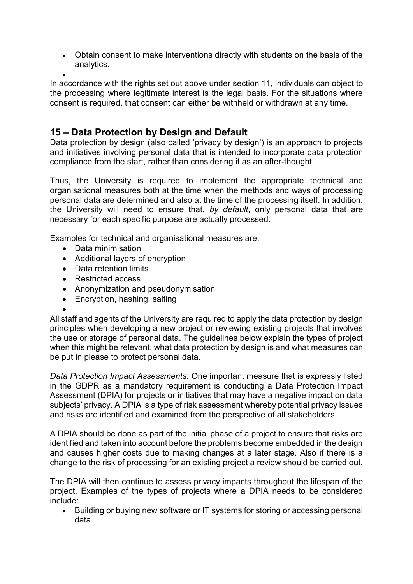Obtain consent to make interventions directly with students on the basis of the analytics.

 $\bullet$ In accordance with the rights set out above under [section 11,](#page-8-0) individuals can object to the processing where legitimate interest is the legal basis. For the situations where consent is required, that consent can either be withheld or withdrawn at any time.

# <span id="page-13-0"></span>**15 – Data Protection by Design and Default**

Data protection by design (also called 'privacy by design') is an approach to projects and initiatives involving personal data that is intended to incorporate data protection compliance from the start, rather than considering it as an after-thought.

Thus, the University is required to implement the appropriate technical and organisational measures both at the time when the methods and ways of processing personal data are determined and also at the time of the processing itself. In addition, the University will need to ensure that, *by default*, only personal data that are necessary for each specific purpose are actually processed.

Examples for technical and organisational measures are:

- Data minimisation
- Additional layers of encryption
- Data retention limits
- Restricted access
- Anonymization and pseudonymisation
- Encryption, hashing, salting

 $\bullet$ All staff and agents of the University are required to apply the data protection by design principles when developing a new project or reviewing existing projects that involves the use or storage of personal data. The guidelines below explain the types of project when this might be relevant, what data protection by design is and what measures can be put in please to protect personal data.

*Data Protection Impact Assessments:* One important measure that is expressly listed in the GDPR as a mandatory requirement is conducting a Data Protection Impact Assessment (DPIA) for projects or initiatives that may have a negative impact on data subjects' privacy. A DPIA is a type of risk assessment whereby potential privacy issues and risks are identified and examined from the perspective of all stakeholders.

A DPIA should be done as part of the initial phase of a project to ensure that risks are identified and taken into account before the problems become embedded in the design and causes higher costs due to making changes at a later stage. Also if there is a change to the risk of processing for an existing project a review should be carried out.

The DPIA will then continue to assess privacy impacts throughout the lifespan of the project. Examples of the types of projects where a DPIA needs to be considered include:

• Building or buying new software or IT systems for storing or accessing personal data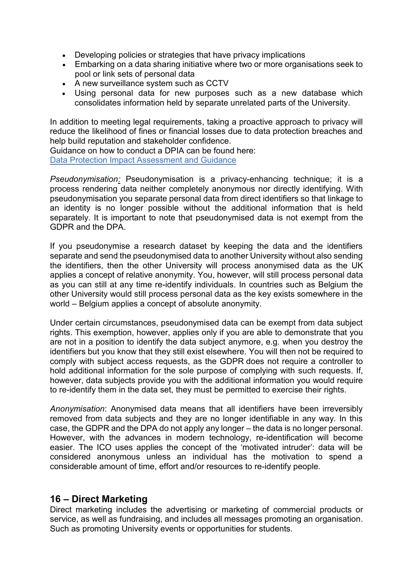- Developing policies or strategies that have privacy implications
- Embarking on a data sharing initiative where two or more organisations seek to pool or link sets of personal data
- A new surveillance system such as CCTV
- Using personal data for new purposes such as a new database which consolidates information held by separate unrelated parts of the University.

In addition to meeting legal requirements, taking a proactive approach to privacy will reduce the likelihood of fines or financial losses due to data protection breaches and help build reputation and stakeholder confidence.

Guidance on how to conduct a DPIA can be found here: [Data Protection Impact Assessment and Guidance](https://www.ed.ac.uk/data-protection/data-protection-impact-assessments)

*Pseudonymisation:* Pseudonymisation is a privacy-enhancing technique; it is a process rendering data neither completely anonymous nor directly identifying. With pseudonymisation you separate personal data from direct identifiers so that linkage to an identity is no longer possible without the additional information that is held separately. It is important to note that pseudonymised data is not exempt from the GDPR and the DPA.

If you pseudonymise a research dataset by keeping the data and the identifiers separate and send the pseudonymised data to another University without also sending the identifiers, then the other University will process anonymised data as the UK applies a concept of relative anonymity. You, however, will still process personal data as you can still at any time re-identify individuals. In countries such as Belgium the other University would still process personal data as the key exists somewhere in the world – Belgium applies a concept of absolute anonymity.

Under certain circumstances, pseudonymised data can be exempt from data subject rights. This exemption, however, applies only if you are able to demonstrate that you are not in a position to identify the data subject anymore, e.g. when you destroy the identifiers but you know that they still exist elsewhere. You will then not be required to comply with subject access requests, as the GDPR does not require a controller to hold additional information for the sole purpose of complying with such requests. If, however, data subjects provide you with the additional information you would require to re-identify them in the data set, they must be permitted to exercise their rights.

*Anonymisation*: Anonymised data means that all identifiers have been irreversibly removed from data subjects and they are no longer identifiable in any way. In this case, the GDPR and the DPA do not apply any longer – the data is no longer personal. However, with the advances in modern technology, re-identification will become easier. The ICO uses applies the concept of the 'motivated intruder': data will be considered anonymous unless an individual has the motivation to spend a considerable amount of time, effort and/or resources to re-identify people.

#### <span id="page-14-0"></span>**16 – Direct Marketing**

Direct marketing includes the advertising or marketing of commercial products or service, as well as fundraising, and includes all messages promoting an organisation. Such as promoting University events or opportunities for students.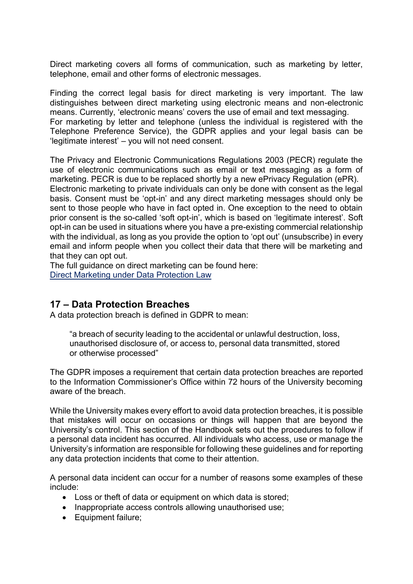Direct marketing covers all forms of communication, such as marketing by letter, telephone, email and other forms of electronic messages.

Finding the correct legal basis for direct marketing is very important. The law distinguishes between direct marketing using electronic means and non-electronic means. Currently, 'electronic means' covers the use of email and text messaging. For marketing by letter and telephone (unless the individual is registered with the Telephone Preference Service), the GDPR applies and your legal basis can be 'legitimate interest' – you will not need consent.

The Privacy and Electronic Communications Regulations 2003 (PECR) regulate the use of electronic communications such as email or text messaging as a form of marketing. PECR is due to be replaced shortly by a new ePrivacy Regulation (ePR). Electronic marketing to private individuals can only be done with consent as the legal basis. Consent must be 'opt-in' and any direct marketing messages should only be sent to those people who have in fact opted in. One exception to the need to obtain prior consent is the so-called 'soft opt-in', which is based on 'legitimate interest'. Soft opt-in can be used in situations where you have a pre-existing commercial relationship with the individual, as long as you provide the option to 'opt out' (unsubscribe) in every email and inform people when you collect their data that there will be marketing and that they can opt out.

The full guidance on direct marketing can be found here: [Direct Marketing under Data Protection Law](https://www.ed.ac.uk/data-protection/data-protection-guidance/specialised-guidance/marketing-publishing-and-communication/direct-marketing)

# <span id="page-15-0"></span>**17 – Data Protection Breaches**

A data protection breach is defined in GDPR to mean:

"a breach of security leading to the accidental or unlawful destruction, loss, unauthorised disclosure of, or access to, personal data transmitted, stored or otherwise processed"

The GDPR imposes a requirement that certain data protection breaches are reported to the Information Commissioner's Office within 72 hours of the University becoming aware of the breach.

While the University makes every effort to avoid data protection breaches, it is possible that mistakes will occur on occasions or things will happen that are beyond the University's control. This section of the Handbook sets out the procedures to follow if a personal data incident has occurred. All individuals who access, use or manage the University's information are responsible for following these guidelines and for reporting any data protection incidents that come to their attention.

A personal data incident can occur for a number of reasons some examples of these include:

- Loss or theft of data or equipment on which data is stored;
- Inappropriate access controls allowing unauthorised use:
- Equipment failure;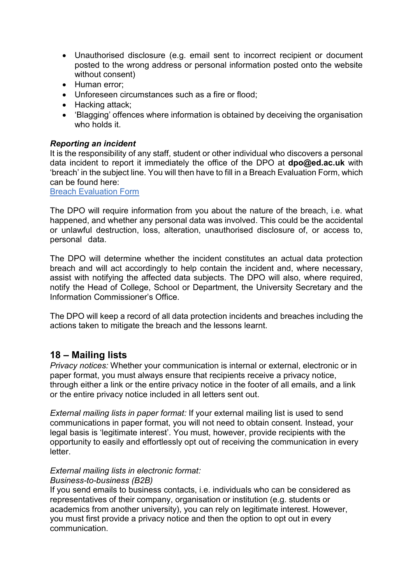- Unauthorised disclosure (e.g. email sent to incorrect recipient or document posted to the wrong address or personal information posted onto the website without consent)
- Human error:
- Unforeseen circumstances such as a fire or flood;
- Hacking attack;
- 'Blagging' offences where information is obtained by deceiving the organisation who holds it.

#### *Reporting an incident*

It is the responsibility of any staff, student or other individual who discovers a personal data incident to report it immediately the office of the DPO at **[dpo@ed.ac.uk](mailto:dpo@ed.ac.uk)** with 'breach' in the subject line. You will then have to fill in a Breach Evaluation Form, which can be found here:

[Breach Evaluation Form](https://www.ed.ac.uk/data-protection/breach-procedure)

The DPO will require information from you about the nature of the breach, i.e. what happened, and whether any personal data was involved. This could be the accidental or unlawful destruction, loss, alteration, unauthorised disclosure of, or access to, personal data.

The DPO will determine whether the incident constitutes an actual data protection breach and will act accordingly to help contain the incident and, where necessary, assist with notifying the affected data subjects. The DPO will also, where required, notify the Head of College, School or Department, the University Secretary and the Information Commissioner's Office.

The DPO will keep a record of all data protection incidents and breaches including the actions taken to mitigate the breach and the lessons learnt.

#### **18 – Mailing lists**

*Privacy notices:* Whether your communication is internal or external, electronic or in paper format, you must always ensure that recipients receive a privacy notice, through either a link or the entire privacy notice in the footer of all emails, and a link or the entire privacy notice included in all letters sent out.

*External mailing lists in paper format:* If your external mailing list is used to send communications in paper format, you will not need to obtain consent. Instead, your legal basis is 'legitimate interest'. You must, however, provide recipients with the opportunity to easily and effortlessly opt out of receiving the communication in every letter.

# *External mailing lists in electronic format:*

#### *Business-to-business (B2B)*

If you send emails to business contacts, i.e. individuals who can be considered as representatives of their company, organisation or institution (e.g. students or academics from another university), you can rely on legitimate interest. However, you must first provide a privacy notice and then the option to opt out in every communication.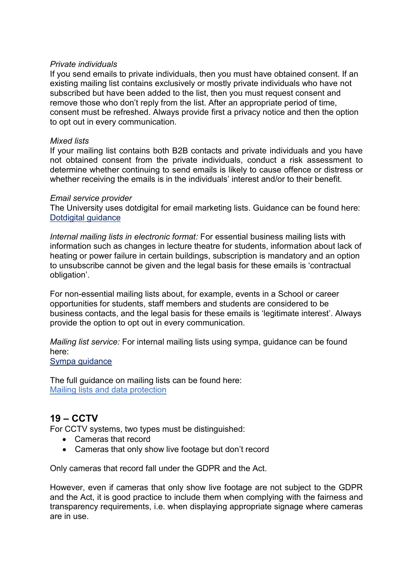#### *Private individuals*

If you send emails to private individuals, then you must have obtained consent. If an existing mailing list contains exclusively or mostly private individuals who have not subscribed but have been added to the list, then you must request consent and remove those who don't reply from the list. After an appropriate period of time, consent must be refreshed. Always provide first a privacy notice and then the option to opt out in every communication.

#### *Mixed lists*

If your mailing list contains both B2B contacts and private individuals and you have not obtained consent from the private individuals, conduct a risk assessment to determine whether continuing to send emails is likely to cause offence or distress or whether receiving the emails is in the individuals' interest and/or to their benefit.

#### *Email service provider*

The University uses dotdigital for email marketing lists. Guidance can be found here: [Dotdigital](https://www.wiki.ed.ac.uk/pages/viewpage.action?pageId=252674247) guidance

*Internal mailing lists in electronic format:* For essential business mailing lists with information such as changes in lecture theatre for students, information about lack of heating or power failure in certain buildings, subscription is mandatory and an option to unsubscribe cannot be given and the legal basis for these emails is 'contractual obligation'.

For non-essential mailing lists about, for example, events in a School or career opportunities for students, staff members and students are considered to be business contacts, and the legal basis for these emails is 'legitimate interest'. Always provide the option to opt out in every communication.

*Mailing list service:* For internal mailing lists using sympa, guidance can be found here: [Sympa guidance](https://www.ed.ac.uk/information-services/computing/comms-and-collab/email/lists/sympa)

The full guidance on mailing lists can be found here: [Mailing lists and data protection](https://www.ed.ac.uk/data-protection/data-protection-guidance/specialised-guidance/marketing-publishing-and-communication/mailing-lists) 

# **19 – CCTV**

For CCTV systems, two types must be distinguished:

- Cameras that record
- Cameras that only show live footage but don't record

Only cameras that record fall under the GDPR and the Act.

However, even if cameras that only show live footage are not subject to the GDPR and the Act, it is good practice to include them when complying with the fairness and transparency requirements, i.e. when displaying appropriate signage where cameras are in use.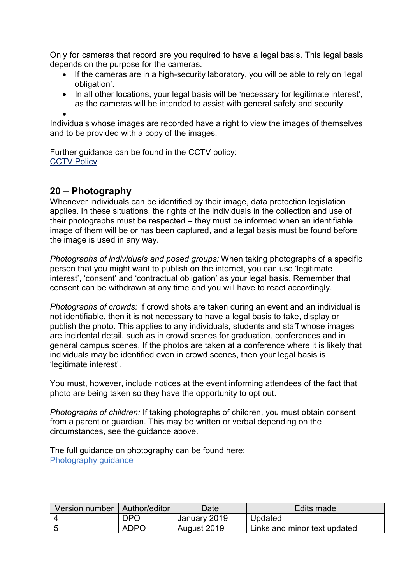Only for cameras that record are you required to have a legal basis. This legal basis depends on the purpose for the cameras.

- If the cameras are in a high-security laboratory, you will be able to rely on 'legal obligation'.
- In all other locations, your legal basis will be 'necessary for legitimate interest', as the cameras will be intended to assist with general safety and security.

 $\bullet$ 

Individuals whose images are recorded have a right to view the images of themselves and to be provided with a copy of the images.

Further guidance can be found in the CCTV policy: **[CCTV Policy](http://www.ed.ac.uk/files/atoms/files/cctv_policy.docx)** 

# **20 – Photography**

Whenever individuals can be identified by their image, data protection legislation applies. In these situations, the rights of the individuals in the collection and use of their photographs must be respected – they must be informed when an identifiable image of them will be or has been captured, and a legal basis must be found before the image is used in any way.

*Photographs of individuals and posed groups:* When taking photographs of a specific person that you might want to publish on the internet, you can use 'legitimate interest', 'consent' and 'contractual obligation' as your legal basis. Remember that consent can be withdrawn at any time and you will have to react accordingly.

*Photographs of crowds:* If crowd shots are taken during an event and an individual is not identifiable, then it is not necessary to have a legal basis to take, display or publish the photo. This applies to any individuals, students and staff whose images are incidental detail, such as in crowd scenes for graduation, conferences and in general campus scenes. If the photos are taken at a conference where it is likely that individuals may be identified even in crowd scenes, then your legal basis is 'legitimate interest'.

You must, however, include notices at the event informing attendees of the fact that photo are being taken so they have the opportunity to opt out.

*Photographs of children:* If taking photographs of children, you must obtain consent from a parent or guardian. This may be written or verbal depending on the circumstances, see the guidance above.

The full guidance on photography can be found here: [Photography guidance](https://www.ed.ac.uk/data-protection/data-protection-guidance/specialised-guidance/marketing-publishing-and-communication/photography)

| Version number   Author/editor |             | Date         | Edits made                   |
|--------------------------------|-------------|--------------|------------------------------|
|                                | DPO         | January 2019 | Updated                      |
|                                | <b>ADPO</b> | August 2019  | Links and minor text updated |